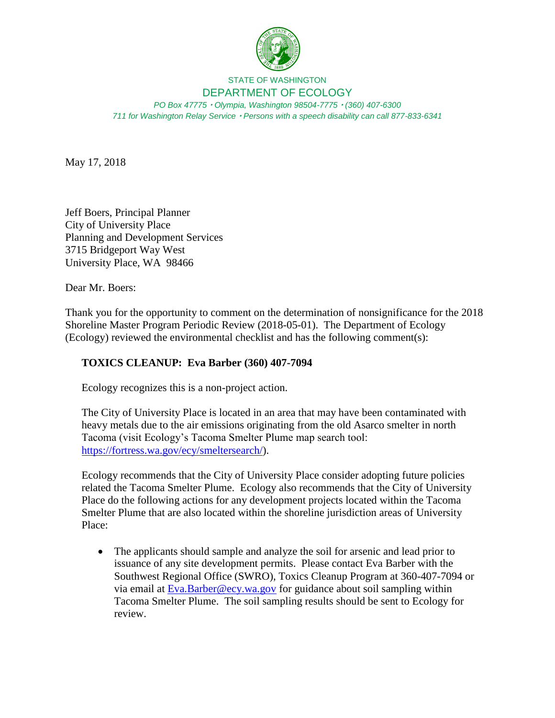

## STATE OF WASHINGTON DEPARTMENT OF ECOLOGY

*PO Box 47775 Olympia, Washington 98504-7775 (360) 407-6300 711 for Washington Relay Service Persons with a speech disability can call 877-833-6341*

May 17, 2018

Jeff Boers, Principal Planner City of University Place Planning and Development Services 3715 Bridgeport Way West University Place, WA 98466

Dear Mr. Boers:

Thank you for the opportunity to comment on the determination of nonsignificance for the 2018 Shoreline Master Program Periodic Review (2018-05-01). The Department of Ecology (Ecology) reviewed the environmental checklist and has the following comment(s):

## **TOXICS CLEANUP: Eva Barber (360) 407-7094**

Ecology recognizes this is a non-project action.

The City of University Place is located in an area that may have been contaminated with heavy metals due to the air emissions originating from the old Asarco smelter in north Tacoma (visit Ecology's Tacoma Smelter Plume map search tool: [https://fortress.wa.gov/ecy/smeltersearch/\)](https://fortress.wa.gov/ecy/smeltersearch/).

Ecology recommends that the City of University Place consider adopting future policies related the Tacoma Smelter Plume. Ecology also recommends that the City of University Place do the following actions for any development projects located within the Tacoma Smelter Plume that are also located within the shoreline jurisdiction areas of University Place:

 The applicants should sample and analyze the soil for arsenic and lead prior to issuance of any site development permits. Please contact Eva Barber with the Southwest Regional Office (SWRO), Toxics Cleanup Program at 360-407-7094 or via email at [Eva.Barber@ecy.wa.gov](mailto:Eva.Barber@ecy.wa.gov) for guidance about soil sampling within Tacoma Smelter Plume. The soil sampling results should be sent to Ecology for review.